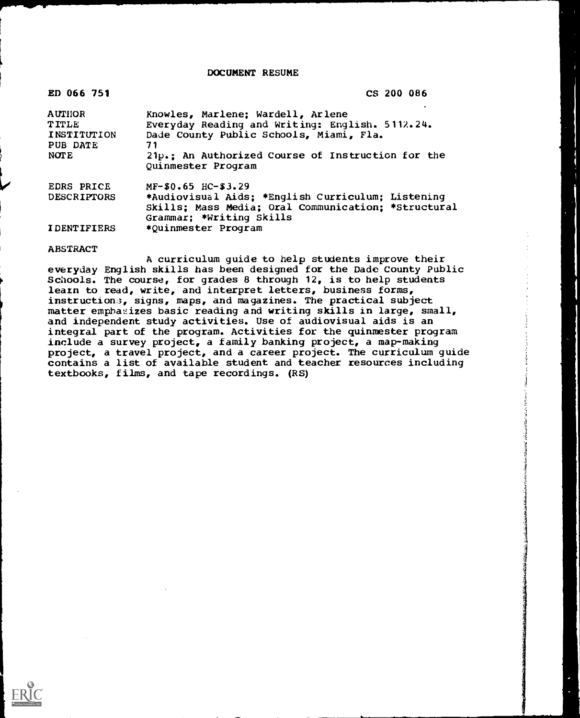DOCUMENT RESUME

| ED 066 751              | CS 200 086                                                                                                                           |
|-------------------------|--------------------------------------------------------------------------------------------------------------------------------------|
| <b>AUTHOR</b>           | Knowles, Marlene; Wardell, Arlene                                                                                                    |
| <b>TITLE</b>            | Everyday Reading and Writing: English. 5112.24.                                                                                      |
| INSTITUTION<br>PUB DATE | Dade County Public Schools, Miami, Fla.<br>71                                                                                        |
| <b>NOTE</b>             | 21p.: An Authorized Course of Instruction for the<br>Quinmester Program                                                              |
| <b>EDRS PRICE</b>       | $MF-$0.65$ HC-\$3.29                                                                                                                 |
| <b>DESCRIPTORS</b>      | *Audiovisual Aids; *English Curriculum; Listening<br>Skills; Mass Media; Oral Communication; *Structural<br>Grammar; *Writing Skills |
| <b>IDENTIFIERS</b>      | *Quinmester Program                                                                                                                  |

### ABSTRACT

A curriculum guide to help students improve their everyday English skills has been designed for the Dade County Public Schools. The course, for grades 8 through 12, is to help students learn to read, write, and interpret letters, business forms, instruction3, signs, maps, and magazines. The practical subject matter emphasizes basic reading and writing skills in large, small, and independent study activities. Use of audiovisual aids is an integral part of the program. Activities for the quinmester program include a survey project, a family banking project, a map-making project, a travel project, and a career project. The curriculum guide contains a list of available student and teacher resources including textbooks, films, and tape recordings. (RS)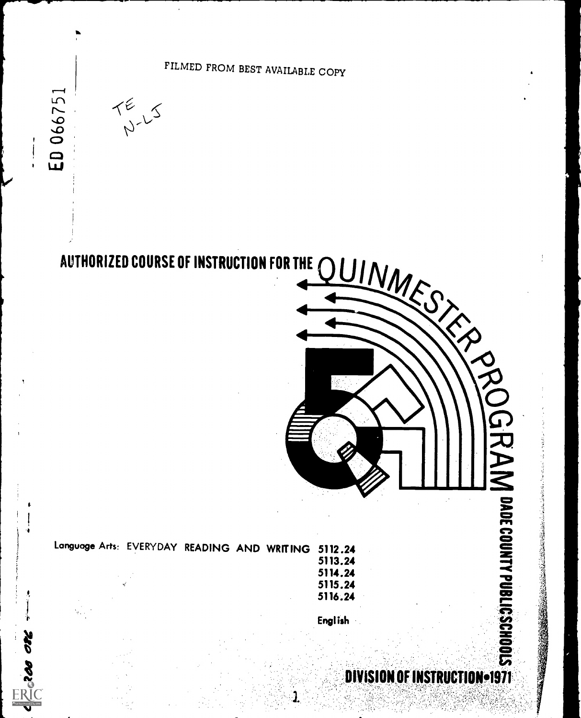

ED 066751

 $\mathbf{r}$  . The set of  $\mathbf{r}$ 

**SED OR STATE** 

# AUTHORIZED COURSE OF INSTRUCTION FOR THE



| Language Arts: EVERYDAY READING AND WRITING 5112.24 |  |  |         |  |
|-----------------------------------------------------|--|--|---------|--|
|                                                     |  |  | 5113.24 |  |
|                                                     |  |  | 5114.24 |  |
|                                                     |  |  | 5115.24 |  |
|                                                     |  |  |         |  |

English

5116.24

# $-1971$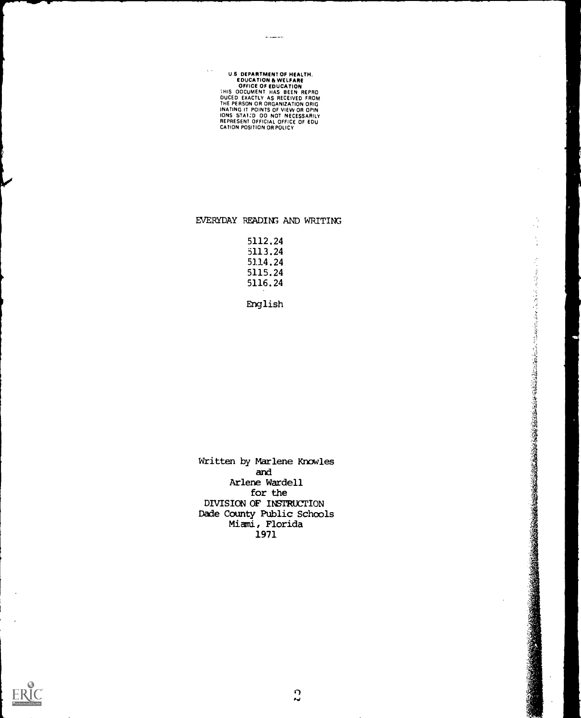# U.S. DEPARTMENT OF HEALTH.<br>
COUCATION & WELFARE<br>
COFFICE OF EDUCATION<br>
THIS OOCUMENT HAS BEEN REPRO<br>
DUCED EXACTLY AS RECEIVED FROM<br>
THE PERSON OR ORGANIZATION ORIG<br>
INATING IT POINTS OF VIEW OR OPIN<br>
NATING IT POINTS OF V

# EVERYDAY READING AND WRITING

 $\ddot{\phantom{a}}$ ۰,

しているので、そのことではないので、その時には、その後には、その後は、その後は、その後には、その後には、その後には、その後には、その後には、その後には、その後には、その後には、その後には、その後には、 その後には、 その後には、 その後には、 その後には、 その後には、 その後には、 その後には、 その後には、 その後には、 その後に、 この後に、 この後に、 この後に、 この後に、 この後に、 この後に、 この後に、 この後に、 この

| 5112.24 |  |
|---------|--|
| 5113.24 |  |
| 5114.24 |  |
| 5115.24 |  |
| 5116.24 |  |
|         |  |

English

Written by Marlene Knowles and Arlene Wardell for the DIVISION OF INSTRUCTION Dade County Public Schools Miami, Florida 1971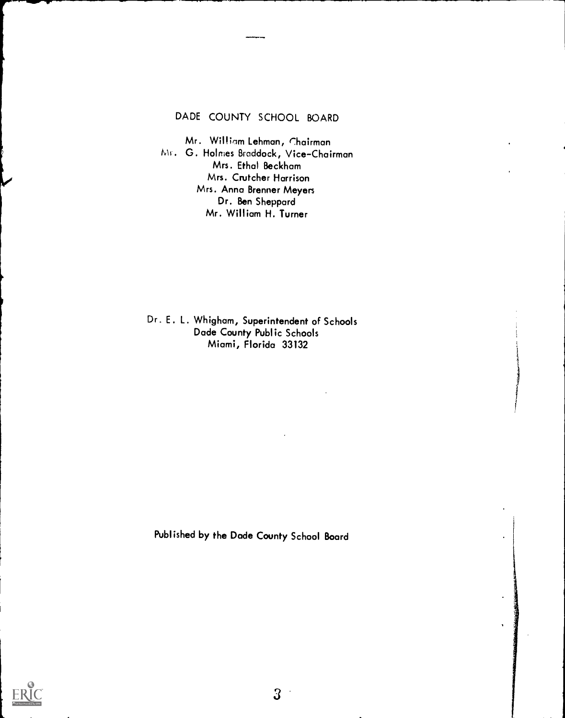# DADE COUNTY SCHOOL BOARD

Mr. William Lehman, Chairman MI. G. Holmes Braddock, Vice-Chairman Mrs. Ethal Beckham Mrs. Crutcher Harrison Mrs. Anna Brenner Meyers Dr. Ben Sheppard Mr. William H. Turner

Dr. E. L. Whigham, Superintendent of Schools Dade County Public Schools Miami, Florida 33132

Published by the Dade County School Board



 $3\overline{3}$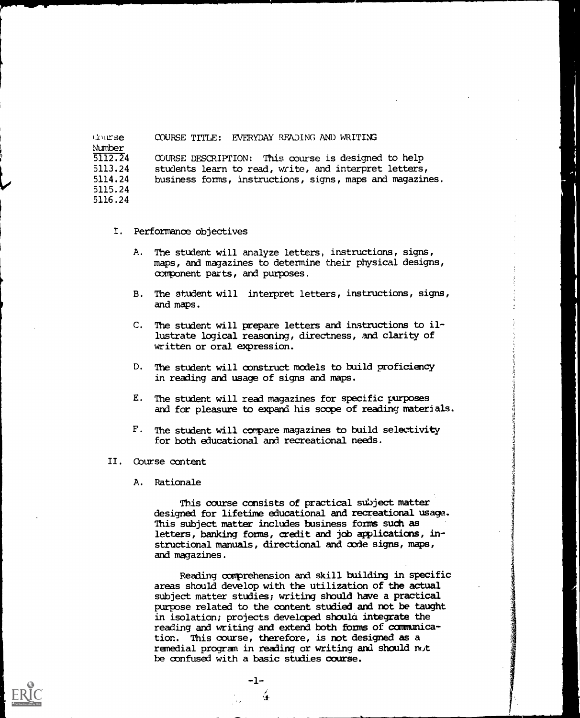6,urse Number<br>5112.24 5113.24 5114.24 5115.24 5116.24 COURSE TITLE: EVERYDAY READING AND WRITING COURSE DESCRIPTION: This course is designed to help students learn to read, write, and interpret letters, business forms, instructions, signs, maps and magazines.

- I. Performance objectives
	- A. The student will analyze letters, instructions, signs, maps, and magazines to determine their physical designs, oorponent parts, and purposes.
	- B. The student will interpret letters, instructions, signs, and maps.
	- C. The student will prepare letters and instructions to illustrate logical reasoning, directness, and clarity of written or oral expression.
	- D. The student will construct models to build proficiency in reading and usage of signs and maps.
	- E. The student will read magazines for specific purposes and for pleasure to expand his scope of reading materials.
	- F. The student will compare magazines to build selectivity for both educational and recreational needs.
- II. Course content
	- A. Rationale

This course consists of practical subject matter designed for lifetime educational and recreational usage. This subject matter includes business forms such as letters, banking forms, credit and job applications, instructional manuals, directional and code signs, maps, and magazines.

Reading comprehension and skill building in specific areas should develop with the utilization of the actual subject matter studies; writing should have a practical purpose related to the content studied and not be taught in isolation; projects developed should integrate the reading and writing and extend both forms of communication. This course, therefore, is not designed as a remedial program in reading or writing and should not be confused with a basic studies course.

 $\frac{1}{4}$ 

 $-1-$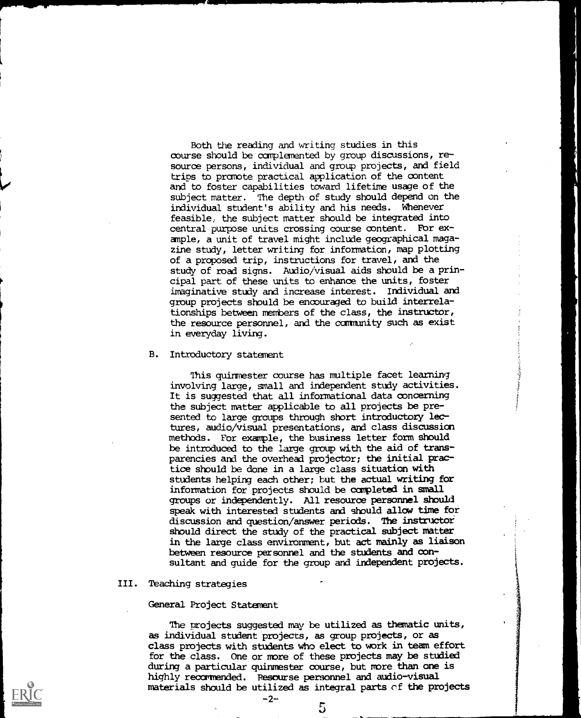Both the reading and writing studies in this course should be complemented by group discussions, resource persons, individual and group projects, and field trips to promote practical application of the content and to foster capabilities toward lifetime usage of the subject matter. The depth of study should depend on the individual student's ability and his needs. Whenever feasible, the subject matter should be integrated into central purpose units crossing course content. For example, a unit of travel might include geographical magazine study, letter writing for information, map plotting of a proposed trip, instructions for travel, and the study of road signs. Audio/Visual aids should be a principal part of these units to enhance the units, foster imaginative study and increase interest. Individual and group projects should be encouraged to build interrelationships between members of the class, the instructor, the resource personnel, and the community such as exist in everyday living.

# B. Introductory statement

This quinnester course has multiple facet learning involving large, small and independent study activities. It is suggested that all informational data concerning the subject matter applicable to all projects be presented to large groups through short introductory lectures, audio/visual presentations, and class discussion methods. For example, the business letter form Should be introduced to the large group with the aid of transparencies and the overhead projector; the initial practice should be done in a large class situation with students helping each other; but the actual writing for information for projects should be completed in small groups or independently. All resource personnel should speak with interested students and should allow time for discussion and question/answer periods. The instructor Should direct the study of the practical subject matter in the large class environment, but act mainly as liaison between resource personnel and the students and consultant and guide for the group and independent projects.

#### III. Teaching strategies

# General Project Statement

The projects suggested may be utilized as thematic units, as individual student projects, as group projects, or as class projects with students who elect to work in team effort for the class. One or more of these projects may be studied during a particular quinmester course, but more than one is highly recommended. Pesourse personnel and audio-visual materials should be utilized as integral parts cf the projects

-2-

5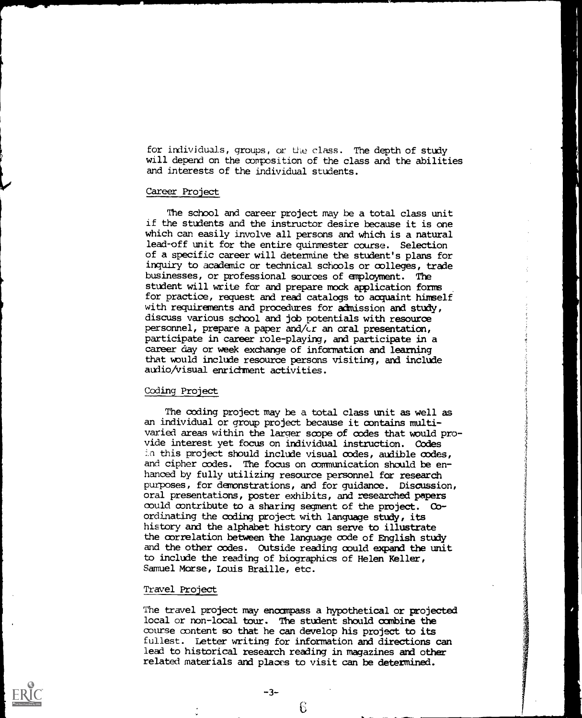for individuals, groups, or the class. The depth of study will depend on the composition of the class and the abilities and interests of the individual students.

# Career Project

The school and career project may be a total class unit if the students and the instructor desire because it is one which can easily involve all persons and which is a natural lead-off unit for the entire quinmester course. Selection of a specific career will determine the student's plans for inquiry to academic or technical schools or colleges, trade businesses, or professional sources of employment. The student will write for and prepare mock application forms for practice, request and read catalogs to acquaint himself with requirements and procedures for admission and study, discuss various school and job potentials with resource personnel, prepare a paper and/cr an oral presentation, participate in career role-playing, and participate in a career day or week exchange of information and learning that would include resource persons visiting, and include audio/Visual enrichment activities.

# Coding Project

The coding project may be a total class unit as well as an individual or group project because it contains multivaried areas within the larger scope of codes that would provide interest yet focus on individual instruction. Codes in this project should include visual codes, audible codes, and cipher codes. The focus on communication should be enhanced by fully utilizing resource personnel for research purposes, for demonstrations, and for guidance. Discussion, oral presentations, poster exhibits, and researched papers could contribute to a sharing segment of the project. Coordinating the coding project with language study, its history and the alphabet history can serve to illustrate the correlation between the language code of English study and the other codes. Outside reading could expand the unit to include the reading of biographies of Helen Keller, Samuel Morse, Louis Braille, etc.

'4

# Travel Project

The travel project may encompass a hypothetical or projected local or non-local tour. The student should combine the course content so that he can develop his project to its fullest. Letter writing for information and directions can lead to historical research reading in magazines and other related materials and places to visit can be determined.

1.)

-3-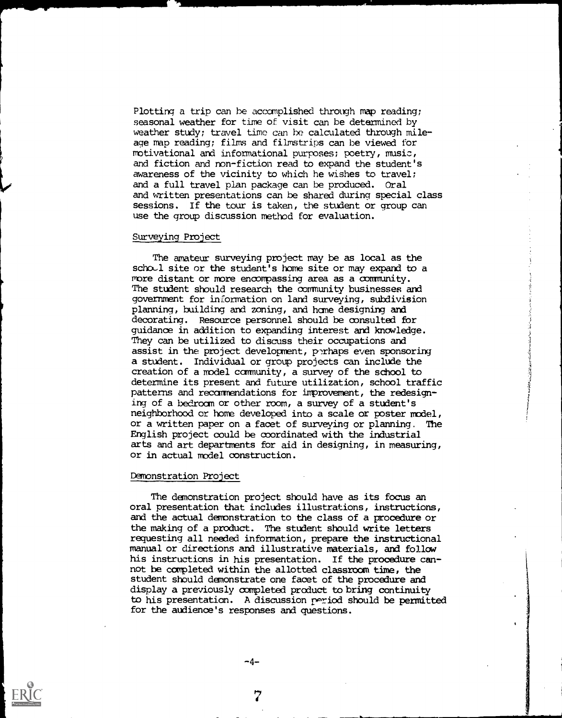Plotting a trip can be accomplished through map reading; seasonal weather for time of visit can be determined by weather study; travel time can be calculated through mileage map reading; films and filmstrips can be viewed for motivational and informational purposes; poetry, music, and fiction and non-fiction read to expand the student's awareness of the vicinity to which he wishes to travel; and a full travel plan package can be produced. Oral and written presentations can be shared during special class sessions. If the tour is taken, the student or group can use the group discussion method for evaluation.

# Surveying Project

The amateur surveying project may be as local as the schold site or the student's home site or may expand to a more distant or more encompassing area as a community. The student should research the community businesses and government for information on land surveying, subdivision planning, building and zoning, and hame designing and decorating. Resource personnel should be consulted for guidance in addition to expanding interest and knowledge. They can be utilized to discuss their occupations and assist in the project development, perhaps even sponsoring a student. Individual or group projects can include the creation of a model community, a survey of the school to determine its present and future utilization, school traffic patterns and recommendations for improvement, the redesigning of a bedroom or other room, a survey of a student's neighborhood or home developed into a scale or poster model, or a written paper on a facet of surveying or planning. The English project could be coordinated with the industrial arts and art departments for aid in designing, in measuring, or in actual model construction.

#### Demonstration Project

The demonstration project should have as its focus an oral presentation that includes illustrations, instructions, and the actual demonstration to the class of a procedure or the making of a product. The student should write letters requesting all needed information, prepare the instructional manual or directions and illustrative materials, and follow his instructions in his presentation. If the procedure cannot be completed within the allotted classroom time, the student should demonstrate one facet of the procedure and display a previously completed product to bring continuity to his presentation. A discussion period should be permitted for the audience's responses and questions.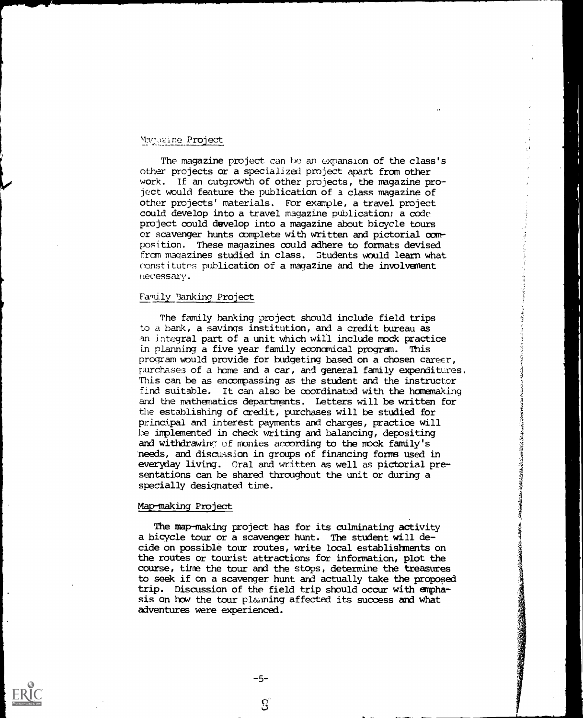# Magazine Project

The magazine project can be an expansion of the class's other projects or a specialized project apart from other work. If an outgrowth of other projects, the magazine project would feature the publication of a class magazine of other projects' materials. For example, a travel project could develop into a travel magazine publication; a code project could develop into a magazine about bicycle tours or scavenger hunts complete with written and pictorial core position. These magazines could adhere to formats devised from magazines studied in class. Students would learn what constitutes publication of a magazine and the involvement necessary.

# Family Tanking Project

The family banking project should include field trips to a bank, a savings institution, and a credit bureau as an integral part of a unit which will include mock practice in planning a five year family economical program. This program would provide for budgeting based on a chosen career, Purchases of a home and a car, and general family expenditures. This can be as encompassing as the student and the instructor find suitable. It can also be coordinated with the homemaking and the mathematics departments. Letters will be written for the establishing of credit, purchases will be studied for principal and interest payments and charges, practice will be implemented in check writing and balancing, depositing and withdrawing of monies according to the mock family's heeds, and discussion in groups of financing forms used in everyday living. Oral and written as well as pictorial presentations can be shared throughout the unit or during a specially designated time.

# Map-making Project

The map-making project has for its culminating activity a bicycle tour or a scavenger hunt. The student will decide on possible tour routes, write local establishments on the routes or tourist attractions for information, plot the course, time the tour and the stops, determine the treasures to seek if on a scavenger hunt and actually take the proposed trip. Discussion of the field trip should occur with emphasis on how the tour planning affected its success and what adventures were experienced.

 $\mathbf{S}$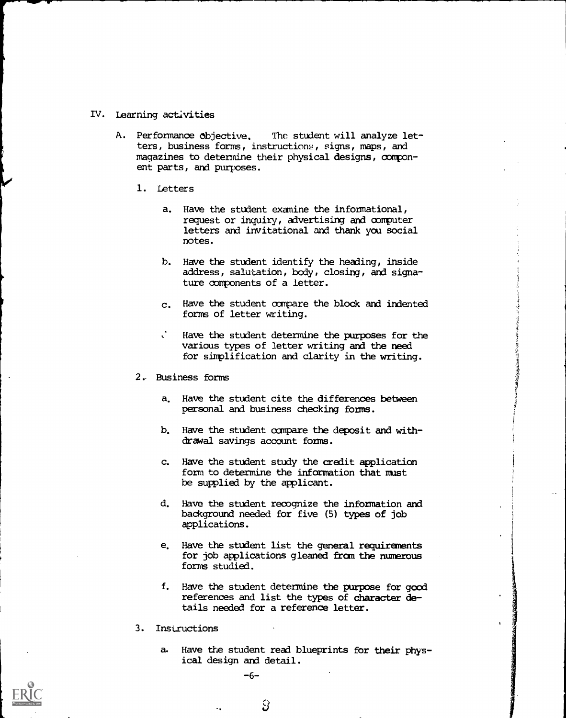# IV. Learning activities

- A. Performance objective. The student will analyze letters, business forms, instructions, signs, maps, and magazines to determine their physical designs, component parts, and purposes.
	- 1. Letters
		- a. Have the student examine the informational, request or inquiry, advertising and computer letters and invitational and thank you social notes.
		- b. Have the student identify the heading, inside address, salutation, body, closing, and signature components of a letter.
		- c. Have the student compare the block and indented forms of letter writing.
			- Have the student determine the purposes for the various types of letter writing and the need for simplification and clarity in the writing.
	- 2.- Business forms
		- a. Have the student cite the differences between personal and business checking forms.
		- b. Have the student compare the deposit and withdrawal savings account forms.
		- c. Have the student study the credit application form to determine the information that must be supplied by the applicant.
		- d. Have the student recognize the information and background needed for five (5) types of job applications.
		- e. Have the student list the general requirements for job applications gleaned from the numerous forms studied.
		- f. Have the student determine the purpose for good references and list the types of character details needed for a reference letter.
	- 3. Instructions
		- a. Have the student read blueprints for their physical design and detail.

-6-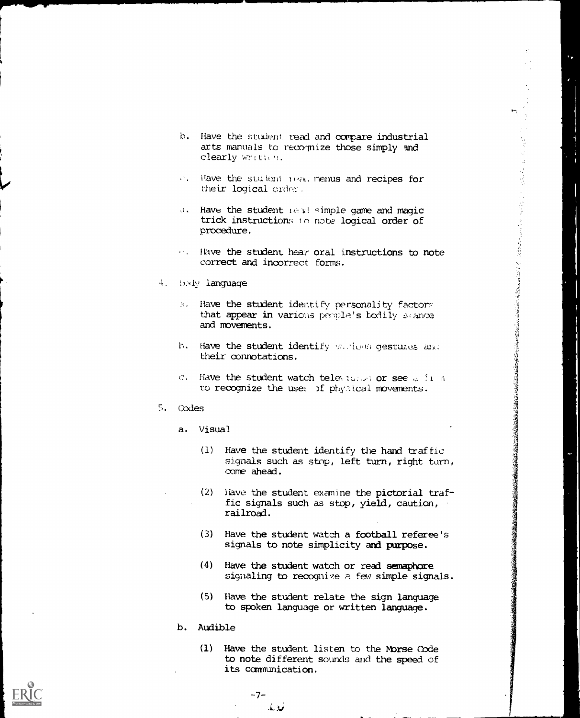145 年 4月 

- b. Have the student. read and compare industrial arts manuals to recognize those simply and clearly written.
- of. Have the student read menus and recipes for their logical crder.
- J. Have the student real simple game and magic trick instructions in note logical order of procedure.
- $\cdots$  Have the student hear oral instructions to note correct and incorrect forms.
- 4. Body language
	- 9. Have the student identify personality factors that appear in various people's bodily scance and movements.
	- b. Have the student identify various gestures and their connotations.
	- $C$ . Have the student watch television or see  $G$  final to recognize the uses of physical movements.
- 5. Codes
	- a. Visual
		- (1) Have the student identify the hand traffic signals such as stop, left turn, right turn, come ahead.
		- (2) Have the student examine the pictorial traffic signals such as stop, yield, caution, railroad.
		- (3) Have the student watch a football referee's signals to note simplicity and purpose.
		- (4) Have the student watch or read semaphore signaling to recognize a few simple signals.
		- (5) Have the student relate the sign language to spoken language or written language.
	- b. Audible
		- (1) Have the student listen to the Morse Code to note different sounds and the speed of its communication.



 $-7-$ نوبله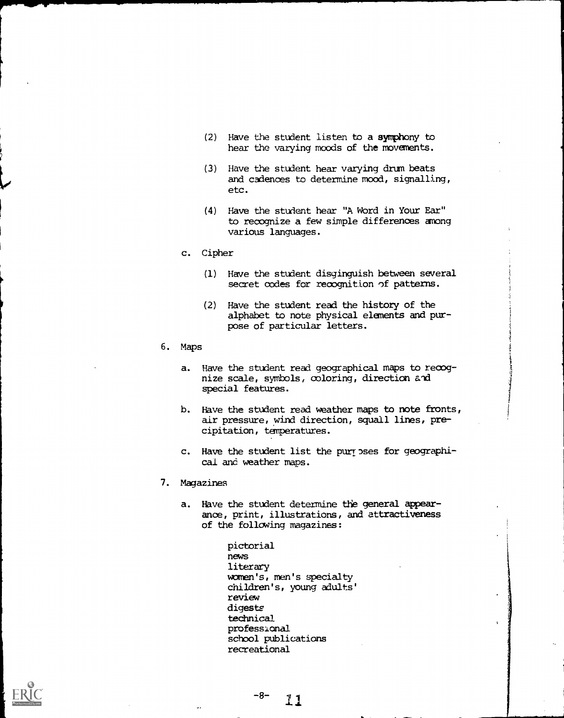- (2) Have the student listen to a symphony to hear the varying moods of the movements.
- (3) Have the student hear varying drum beats and cadences to determine mood, signalling, etc.
- (4) Have the student hear "A Word in Your Ear" to recognize a few simple differences among various languages.
- c. Cipher
	- (1) Have the student disginguish between several secret codes for recognition of patterns.
	- (2) Have the student read the history of the alphabet to note physical elements and purpose of particular letters.
- 6. Maps
	- a. Have the student read geographical maps to recognize scale, symbols, coloring, direction and special features.
	- b. Have the student read weather maps to note fronts, air pressure, wind direction, squall lines, precipitation, temperatures.
	- c. Have the student list the purposes for geographical and weather maps.
- 7. Magazines
	- a. Have the student determine the general appearance, print, illustrations, and attractiveness of the following magazines:

```
pictorial
news
literary
women's, men's specialty
children's, young adults'
review
digests
technical
professional
school publications
recreational
```
11

 $-8-$ 

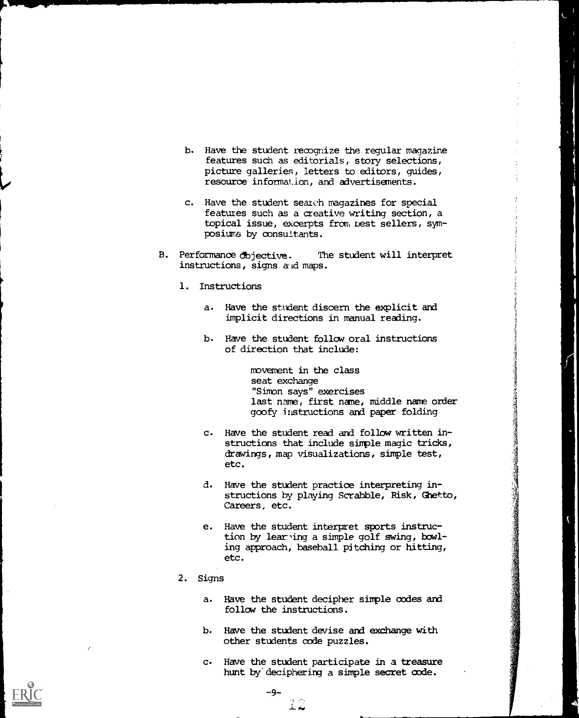- b. Have the student recognize the regular magazine features such as editorials, story selections, picture galleries, letters to editors, guides, resource information, and advertisements.
- c. Have the student search magazines for special features such as a creative writing section, a topical issue, excerpts from best sellers, symposiums by consultants.
- B. Performance dbjective. The student will interpret instructions, signs aid maps.
	- 1. Instructions
		- a. Have the student discern the explicit and implicit directions in manual reading.
		- b. Have the student follow oral instructions of direction that include:

movement in the class seat exchange "Simon says" exercises last name, first name, middle name order goofy instructions and paper folding

- c. Have the student read and follow written instructions that include simple magic tricks, drawings, map visualizations, simple test, etc.
- d. Have the student practice interpreting instructions by playing Scrabble, Risk, Ghetto, Careers, etc.
- e. Have the student interpret sports instruction by learning a simple golf swing, bowling approach, baseball pitching or hitting, etc.
- 2. Signs
	- a. Have the student decipher simple codes and follow the instructions.
	- b. Have the student devise and exchange with other students code puzzles.
	- c. Have the student participate in a treasure hunt by deciphering a simple secret code.

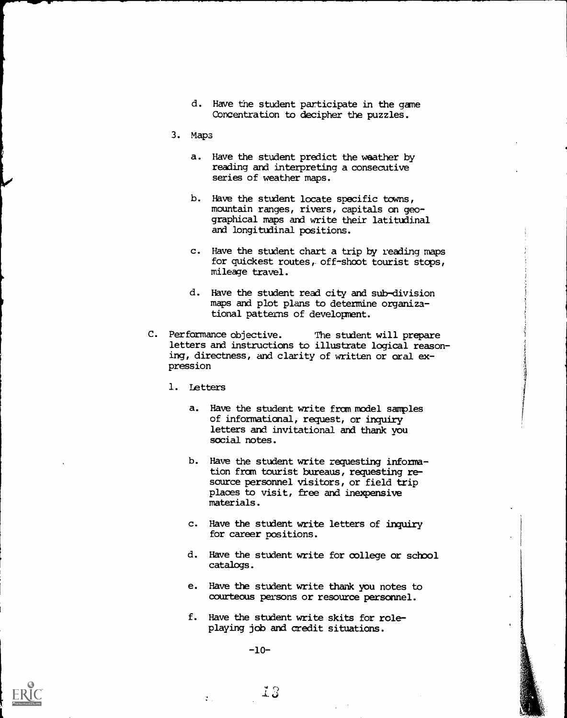- d. Have the student participate in the game Concentration to decipher the puzzles.
- 3. Maps
	- a. Have the student predict the weather by reading and interpreting a consecutive series of weather maps.
	- b. Have the student locate specific towns, mountain ranges, rivers, capitals on geographical maps and write their latitudinal and longitudinal positions.
	- c. Have the student chart a trip by reading maps for quickest routes, off-shoot tourist stops, mileage travel.
	- d. Have the student read city and sub-division maps and plot plans to determine organizational patterns of development.
- C. Performance objective. The student will prepare letters and instructions to illustrate logical reasoning, directness, and clarity of written or oral expression
	- 1. Letters
		- a. Have the student write from model samples of informational, request, or inquiry letters and invitational and thank you social notes.
		- b. Have the student write requesting information from tourist bureaus, requesting resource personnel visitors, or field trip places to visit, free and inexpensive materials.
		- c. Have the student write letters of inquiry for career positions.
		- d. Have the student write for college or school catalogs.
		- e. Have the student write thank you notes to courteous persons or resource personnel.
		- f. Have the student write skits for roleplaying job and credit situations.

-10-

 $\mathcal{V}_{\mathrm{in}}$ 

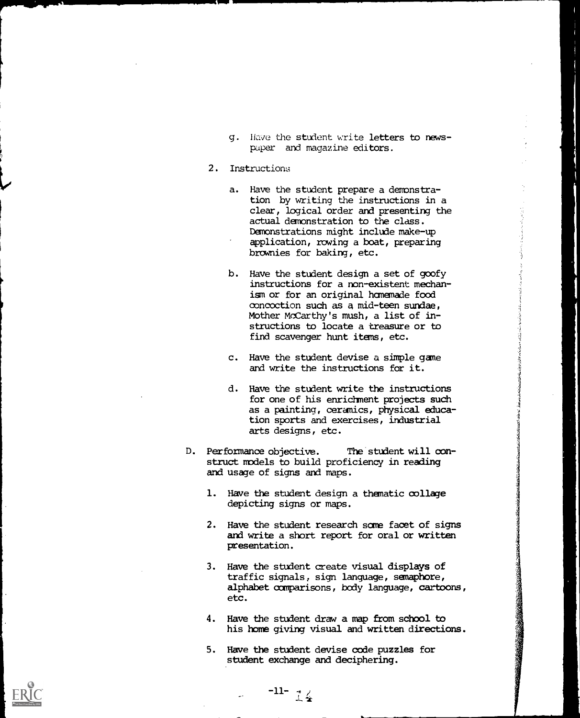- g. Have the student write letters to newspaper and magazine editors.
- 2. Instructions
	- a. Have the student prepare a demonstration by writing the instructions in a clear, logical order and presenting the actual demonstration to the class. Demonstrations might include make-up application, rowing a boat, preparing brownies for baking, etc.
	- b. Have the student design a set of goofy instructions for a non-existent mechanism or for an original hamemade food concoction such as a mid-teen sundae, Mother McCarthy's mush, a list of instructions to locate a treasure or to find scavenger hunt items, etc.
	- c. Have the student devise a simple game and write the instructions for it.
	- d. Have the student write the instructions for one of his enrichment projects such as a painting, ceramics, physical education sports and exercises, industrial arts designs, etc.
- D. Performance objective. The student will construct models to build proficiency in reading and usage of signs and maps.
	- 1. Have the student design a thematic collage depicting signs or maps.
	- 2. Have the student research same facet of signs and write a short report for oral or written presentation.
	- 3. Have the student create visual displays of traffic signals, sign language, semaphore, alphabet comparisons, bcdy language, cartoons, etc.
	- 4. Have the student draw a map from school to his home giving visual and written directions.
	- 5. Have the student devise code puzzles for student exchange and deciphering.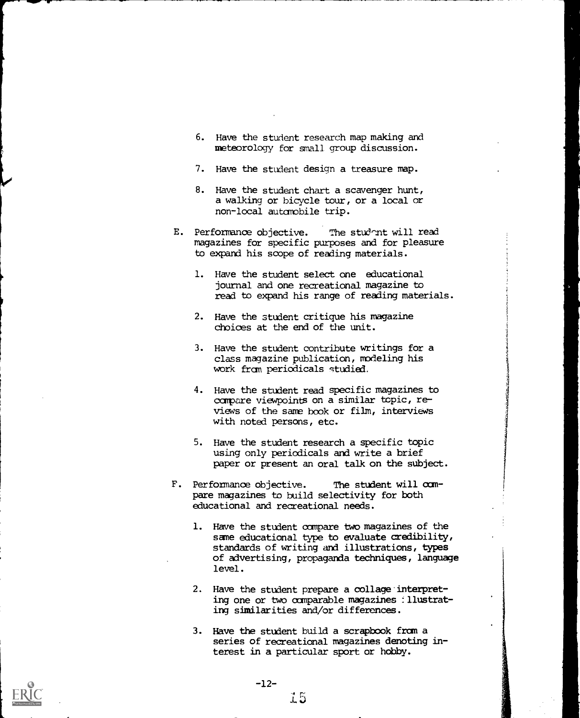- 6. Have the student research map making and meteorology for small group discussion.
- 7. Have the student design a treasure map.
- 8. Have the student chart a scavenger hunt, a walking or bicycle tour, or a local or non-local automobile trip.
- E. Performance objective. The student will read magazines for specific purposes and for pleasure to expand his scope of reading materials.
	- 1. Have the student select one educational journal and one recreational magazine to read to expand his range of reading materials.
	- 2. Have the student critique his magazine choices at the end of the unit.
	- 3. Have the student contribute writings for a class magazine publication, modeling his work from periodicals studied.

I

- 4. Have the student read specific magazines to compare viewpoints on a similar topic, reviews of the sane book or film, interviews with noted persons, etc.
- 5. Have the student research a specific topic using only periodicals and write a brief paper or present an oral talk on the subject.
- F. Performance objective. The student will compare magazines to build selectivity for both educational and recreational needs.
	- 1. Have the student compare two magazines of the same educational type to evaluate credibility, standards of writing and illustrations, types of advertising, propaganda techniques, language level.
	- 2. Have the student prepare a collage interpreting one or two comparable magazines : llustrating similarities and/or differences.
	- 3. Have the student build a scrapbook from a series of recreational magazines denoting interest in a particular sport or hobby.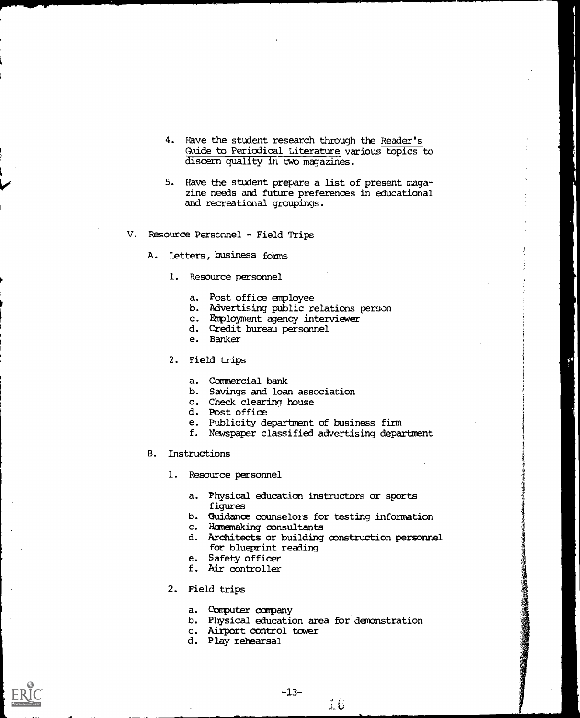- 4. Have the student research through the Reader's Guide to Periodical Literature various topics to discern quality in two magazines.
- 5. Have the student prepare a list of present magazine needs and future preferences in educational and recreational groupings.
- V. Resource Personnel Field Trips
	- A. Letters, business forms
		- 1. Resource personnel
			- a. Post office employee
			- b. Advertising public relations person
			- c. Dimployment agency interviewer
			- d. Credit bureau personnel
			- e. Banker
		- 2. Field trips
			- a. Commercial bank
			- b. Savings and loan association
			- c. Check clearing house
			- d. Post office
			- e. Publicity department of business firm
			- f. Newspaper classified advertising department
	- B. Instructions
		- 1. Resource personnel
			- a. Physical education instructors or sports figures
			- b. guidance counselors for testing information
			- c. Homemaking consultants
			- d. Architects or building construction personnel for blueprint reading
			- e. Safety officer
			- f. Air controller
		- 2. Field trips
			- a. Computer company
			- b. Physical education area for demonstration
			- c. Airport control tower
			- d. Play rehearsal

-13-

 $\overset{\circ}{\bot}\overset{\circ}{\psi}$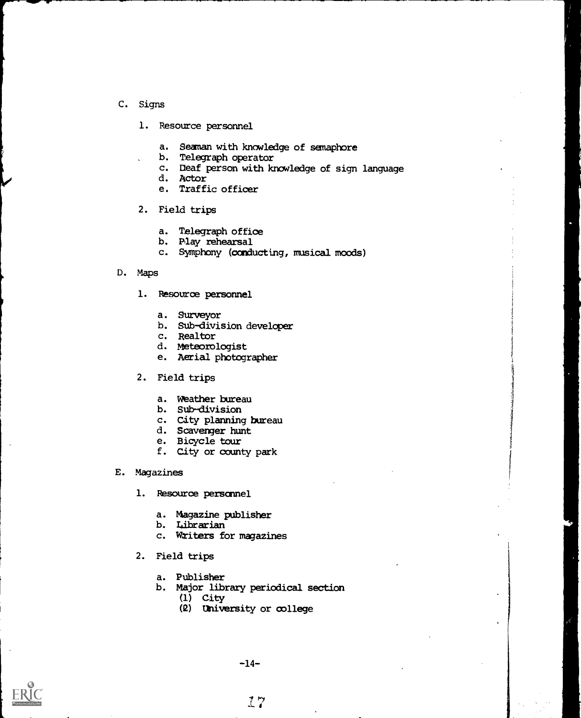- C. Signs
	- 1. Resource personnel
		- a. Seaman with knowledge of semaphore<br>b. Telegraph operator
		- b. Telegraph operator
		- c. Deaf person with knowledge of sign language
		- d. Actor
		- e. Traffic officer
	- 2. Field trips
		- a. Telegraph office
		- b. Play rehearsal
		- c. Symphony (conducting, musical moods)

# D. Maps

- 1. Resource personnel
	- a. Surveyor
	- b. Sub-division developer
	- c. Realtor
	- d. Meteorologist
	- e. Aerial photographer
- 2. Field trips
	- a. Weather bureau
	- b. Sub-division
	- c. City planning bureau
	- d. Scavenger hunt
	- e. Bicycle tour
	- f. City or county park
- E. Magazines
	- 1. Resource personnel
		- a. Magazine publisher
		- b. Librarian
		- c. Writers for magazines
	- 2. Field trips
		- a. Publisher
		- b. Major library periodical section
			- (1) City
			- (2) University or college



-14-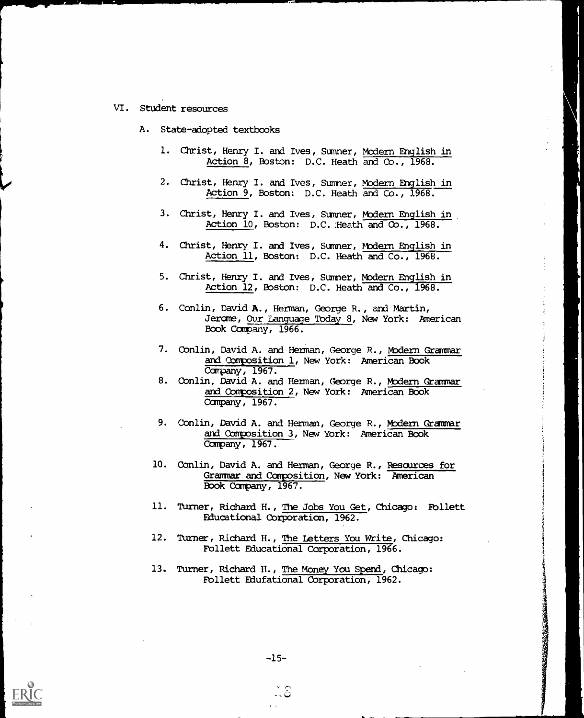- VI. Student resources
	- A. State-adopted textbooks
		- 1. Christ, Henry I. and Ives, Sumner, Modern English in Action 8, Boston: D.C. Heath and Co., 1968.
		- 2. Christ, Henry I. and Ives, Sumner, <u>Modern English in</u> Action 9, Boston: D.C. Heath and Co., 1968.
		- 3. Christ, Henry I. and Ives, Sumner, <u>Modern English in</u> Action 10, Boston: D.C. :Heath and CO., 1968.
		- 4. Christ, Henry I. and Ives, Sumner, <u>Modern English in</u> Action 11, Boston: D.C. Heath and Co., 1968.
		- 5. Christ, Henry I. and Ives, Sumner, Modern English in Action 12, Boston: D.C. Heath and Co., 1968.
		- 6. Conlin, David A., Herman, George R., and Martin, Jerome, Our Language Today 8, New York: American Book Company, 1966.
		- 7. Conlin, David A. and Herman, George R., <u>Modern Grammar</u> and Composition 1, New York: American Book Campany, 1967.
		- 8. Conlin, David A. and Herman, George R., Modern Grammar and Composition 2, New York: American Book Company, 1967.
		- 9. Conlin, David A. and Herman, George R., M<u>odern Grammar</u> and Composition 3, New York: American Book Company, 1967.
		- 10. Conlin, David A. and Herman, George R., Resources for Grammar and Composition, New York: American Book Company, 1967.
		- 11. Turner, Richard H., The Jobs You Get, Chicago: Follett Educational Corporation, 1962.
		- 12. Turner, Richard H., The Letters You Write, Chicago: Follett Educational Corporation, 1966.
		- 13. Turner, Richard H., The Money You Spend, Chicago: Follett Edufational Corporation, 1962.

تنا ۔ -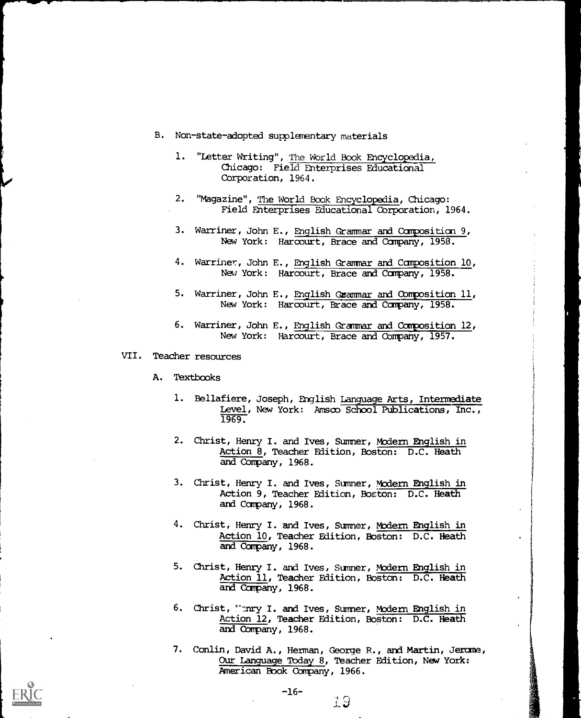- B. Non-state-adopted supplementary materials
	- 1. "Letter Writing", The World Book Encyclopedia, Chicago: Field Enterprises Educational Corporation, 1964.
	- 2. "Magazine", The World Book Encyclopedia, Chicago: Field Enterprises Educational Corporation, 1964.
	- 3. Warriner, John E., English Grammar and Composition 9, New York: Harcourt, Brace and Company, 1958.
	- 4. Warriner, John E., English Grammar and Composition 10, New York: Harcourt, Brace and Company, 1958.
	- 5. Warriner, John E., English Grammar and Composition 11, New York: Harcourt, Brace and Company, 1958.
	- 6. Warriner, John E., English Grammar and Composition 12, New York: Harcourt, Brace and Company, 1957.
- VII. Teacher resources
	- A. Textbooks
		- 1. Bellafiere, Joseph, English Language Arts, Intermediate Level, New York: Amsco School Publications, Inc., 1969.
		- 2. Christ, Henry I. and Ives, Summer, Modern English in Action 8, Teacher Edition, Boston: D.C. Heath and Company, 1968.
		- 3. Christ, Henry I. and Ives, Sumner, Modern English in Action 9, Teacher Edition, Boston: D.C. Heath and Company, 1968.
		- 4. Christ, Henry I. and Ives, Summer, Modern English in Action 10, Teacher Edition, Boston: D.C. Heath and Company, 1968.
		- 5. Christ, Henry I. and Ives, Sumner, Modern English in Action 11, Teacher Edition, Boston: D.C. Heath and Company, 1968.
		- 6. Christ, "mry I. and Ives, Sumner, Modern English in Action 12, Teacher Edition, Boston: D.C. Heath and Company, 1968.
		- 7. Conlin, David A., Herman, George R., and Martin, Jerome, Our Language Today 8, Teacher Edition, New York: American Book Company, 1966.

19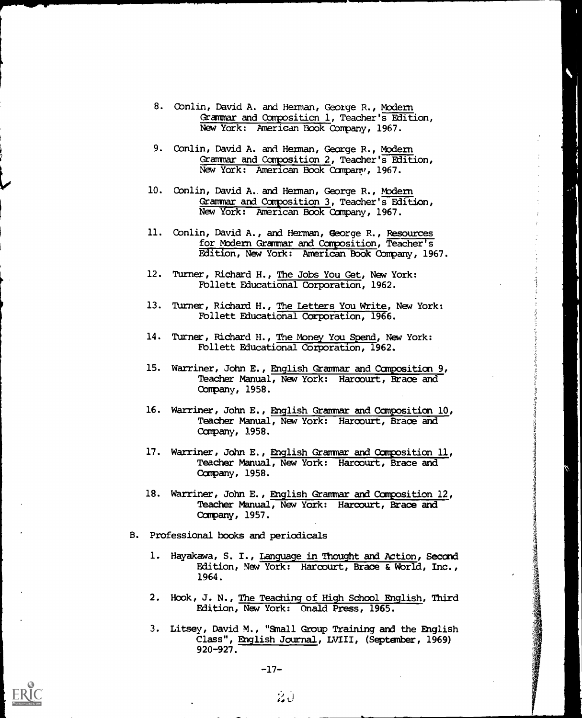- 8. Conlin, David A. and Herman, George R., Modern Grammar and Composition 1, Teacher's Edition, New York: American Book Company, 1967.
- 9. Conlin, David A. and Herman, George R., Modern Grammar and Composition 2, Teacher's Edition, New York: American Book Company, 1967.
- 10. Conlin, David A. and Herman, George R., Modern Grammar and Composition 3, Teacher's Edition, New York: American Book Canpany, 1967.
- 11. Conlin, David A., and Herman, George R., Resources for Modern Grammar and Composition, Teacher's Edition, New York: American Book Company, 1967.
- 12. Turner, Richard H., The Jobs You Get, New York: Follett Educational Corporation, 1962.
- 13. Turner, Richard H., The Letters You Write, New York: Fbllett Educational Corporation, 1966.
- 14. Turner, Richard H., The Money You Spend, New York: Fbllett Educational Corporation, 1962.
- 15. Warriner, John E., English Grammar and Composition 9, Teacher Manual, New York: Harcourt, Brace and Company, 1958.
- 16. Warriner, John E., English Grammar and Composition 10, Teacher Manual, New York: Harcourt, Brace and Company, 1958.
- 17. Warriner, John E., English Grammar and Composition 11, Teacher Manual, New York: Harcourt, Brace and Company, 1958.
- 18. Warriner, John E., English Grammar and Composition 12, Teacher Manual, New York: Harcourt, Brace and Company, 1957.
- B. Professional books and periodicals
	- 1. Hayakawa, S. I., Language in Thought and Action, Second Edition, New York: Harcourt, Brace & World, Inc., 1964.
	- 2. Hook, J. N., The Teaching of High School English, Third Edition, New York: Onald Press, 1965.
	- 3. Litsey, David M., "Small Group Training and the English Class", English Journal, LVIII, (September, 1969) 920-927.